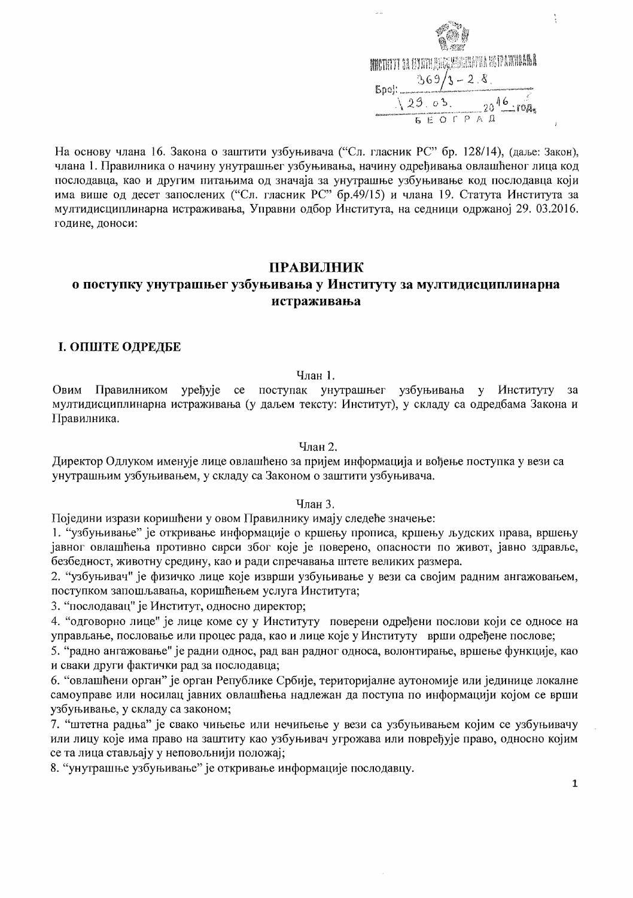

На основу члана 16. Закона о заштити узбуњивача ("Сл. гласник РС" бр. 128/14), (даље: Закон), члана 1. Правилника о начину унутрашњег узбуњивања, начину одређивања овлашћеног лица код послодавца, као и другим питањима од значаја за унутрашње узбуњивање код послодавца који има више од десет запослених ("Сл. гласник РС" бр.49/15) и члана 19. Статута Института за мултидисциплинарна истраживања, Управни одбор Института, на седници одржаној 29. 03.2016. године, доноси:

# **ПРАВИЛНИК**

# о поступку унутрашњег узбуњивања у Институту за мултидисциплинарна истраживања

# І. ОПШТЕ ОДРЕДБЕ

#### $V<sub>ПАН</sub> 1.$

Правилником уређује се поступак унутрашњег узбуњивања у Институту Овим  $3a$ мултидисциплинарна истраживања (у даљем тексту: Институт), у складу са одредбама Закона и Правилника.

Члан 2.

Директор Одлуком именује лице овлашћено за пријем информација и вођење поступка у вези са унутрашњим узбуњивањем, у складу са Законом о заштити узбуњивача.

### Члан 3.

Поједини изрази коришћени у овом Правилнику имају следеће значење:

1. "узбуњивање" је откривање информације о кршењу прописа, кршењу људских права, вршењу јавног овлашћења противно сврси због које је поверено, опасности по живот, јавно здравље, безбедност, животну средину, као и ради спречавања штете великих размера.

2. "узбуњивач" је физичко лице које изврши узбуњивање у вези са својим радним ангажовањем, поступком запошљавања, коришћењем услуга Института;

3. "послодавац" је Институт, односно директор;

4. "одговорно лице" је лице коме су у Институту поверени одређени послови који се односе на управљање, пословање или процес рада, као и лице које у Институту врши одређене послове;

5. "радно ангажовање" је радни однос, рад ван радног односа, волонтирање, вршење функције, као и сваки други фактички рад за послодавца;

6. "овлашћени орган" је орган Републике Србије, територијалне аутономије или јединице локалне самоуправе или носилац јавних овлашћења надлежан да поступа по информацији којом се врши узбуњивање, у складу са законом;

7. "штетна радња" је свако чињење или нечињење у вези са узбуњивањем којим се узбуњивачу или лицу које има право на заштиту као узбуњивач угрожава или повређује право, односно којим се та лица стављају у неповољнији положај;

8. "унутрашње узбуњивање" је откривање информације послодавцу.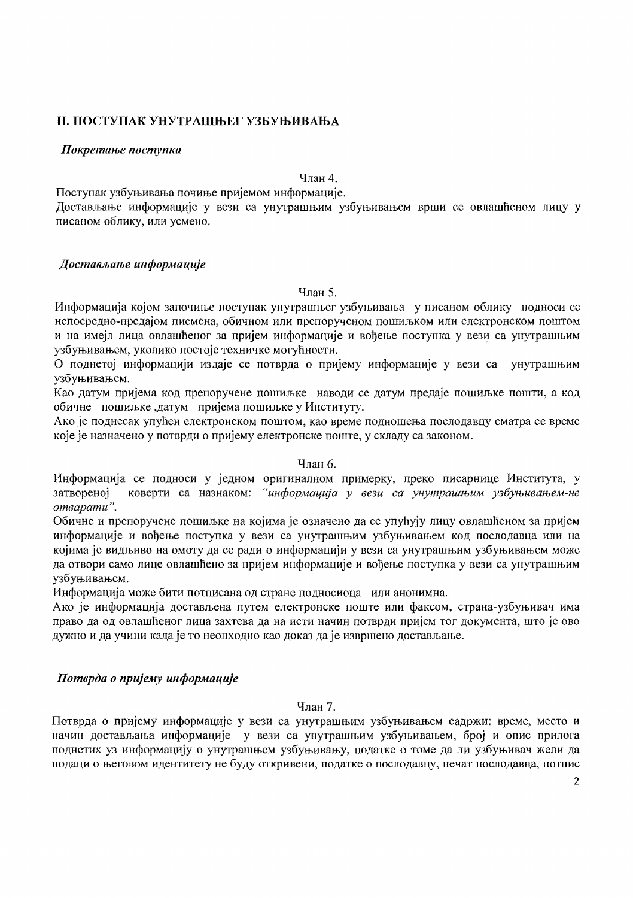# **II. ПОСТУПАК УНУТРАШЊЕГ УЗБУЊИВАЊА**

### Покретање поступка

Члан 4.

Поступак узбуњивања почиње пријемом информације.

Достављање информације у вези са унутрашњим узбуњивањем врши се овлашћеном лицу у писаном облику, или усмено.

# Достављање информације

Члан 5.

Информација којом започиње поступак унутрашњег узбуњивања у писаном облику подноси се непосредно-предајом писмена, обичном или препорученом пошиљком или електронском поштом и на имејл лица овлашћеног за пријем информације и воћење поступка у вези са унутрашњим узбуњивањем, уколико постоје техничке могућности.

О поднетој информацији издаје се потврда о пријему информације у вези са унутрашњим узбуњивањем.

Као датум пријема код препоручене пошиљке наводи се датум предаје пошиљке пошти, а код обичне пошиљке датум пријема пошиљке у Институту.

Ако је поднесак упућен електронском поштом, као време подношења послодавцу сматра се време које је назначено у потврди о пријему електронске поште, у складу са законом.

### Члан 6.

Информација се подноси у једном оригиналном примерку, преко писарнице Института, у затвореној коверти са назнаком: "информација у вези са унутрашњим узбуњивањем-не отварати".

Обичне и препоручене пошиљке на којима је означено да се упућују лицу овлашћеном за пријем информације и вођење поступка у вези са унутрашњим узбуњивањем код послодавца или на којима је видљиво на омоту да се ради о информацији у вези са унутрашњим узбуњивањем може да отвори само лице овлашћено за пријем информације и вођење поступка у вези са унутрашњим узбуњивањем.

Информација може бити потписана од стране подносиоца или анонимна.

Ако је информација достављена путем електронске поште или факсом, страна-узбуњивач има право да од овлашћеног лица захтева да на исти начин потврди пријем тог документа, што је ово дужно и да учини када је то неопходно као доказ да је извршено достављање.

# Потврда о пријему информације

Члан 7.

Потврда о пријему информације у вези са унутрашњим узбуњивањем садржи: време, место и начин достављања информације у вези са унутрашњим узбуњивањем, број и опис прилога поднетих уз информацију о унутрашњем узбуњивању, податке о томе да ли узбуњивач жели да подаци о његовом идентитету не буду откривени, податке о послодавцу, печат послодавца, потпис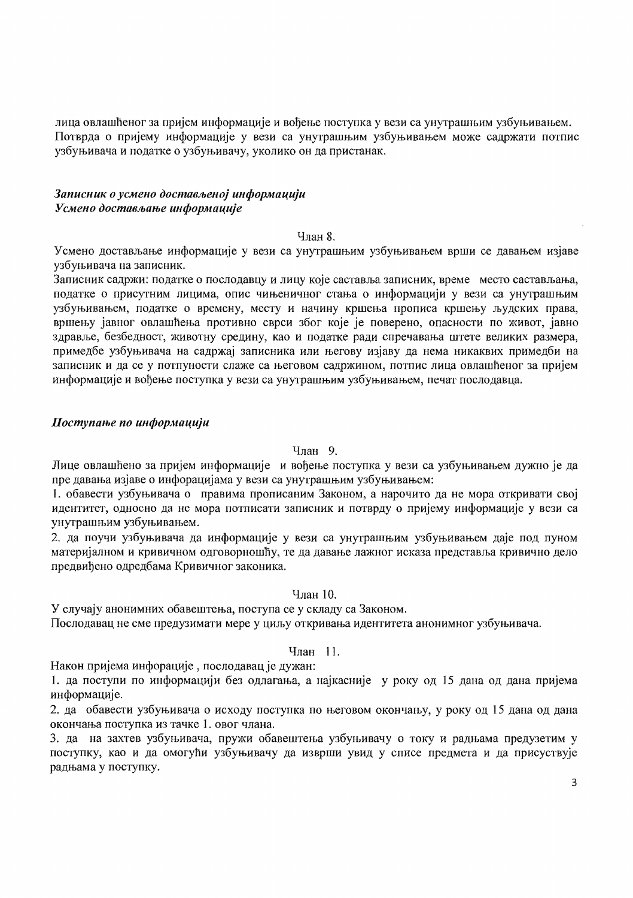лица овлашћеног за пријем информације и вођење поступка у вези са унутрашњим узбуњивањем. Потврда о пријему информације у вези са унутрашњим узбуњивањем може садржати потпис узбуњивача и податке о узбуњивачу, уколико он да пристанак.

### Записник о усмено достављеној информацији Усмено достављање информације

#### Члан 8.

Усмено достављање информације у вези са унутрашњим узбуњивањем врши се давањем изјаве узбуњивача на записник.

Записник садржи: податке о послодавцу и лицу које саставља записник, време место састављања, податке о присутним лицима, опис чињеничног стања о информацији у вези са унутрашњим узбуњивањем, податке о времену, месту и начину кршења прописа кршењу људских права, вршењу јавног овлашћења противно сврси због које је поверено, опасности по живот, јавно здравље, безбедност, животну средину, као и податке ради спречавања штете великих размера, примедбе узбуњивача на садржај записника или његову изјаву да нема никаквих примедби на записник и да се у потпуности слаже са његовом садржином, потпис лица овлашћеног за пријем информације и вођење поступка у вези са унутрашњим узбуњивањем, печат послодавца.

### Поступање по информацији

### Члан 9.

Лице овлашћено за пријем информације и вођење поступка у вези са узбуњивањем дужно је да пре давања изјаве о инфорацијама у вези са унутрашњим узбуњивањем:

1. обавести узбуњивача о правима прописаним Законом, а нарочито да не мора откривати свој идентитет, односно да не мора потписати записник и потврду о пријему информације у вези са унутрашњим узбуњивањем.

2. да поучи узбуњивача да информације у вези са унутрашњим узбуњивањем даје под пуном материјалном и кривичном одговорношћу, те да давање лажног исказа представља кривично дело предвићено одредбама Кривичног законика.

### Члан 10.

У случају анонимних обавештења, поступа се у складу са Законом.

Послодавац не сме предузимати мере у циљу откривања идентитета анонимног узбуњивача.

# Члан 11.

Након пријема инфорације, послодавац је дужан:

1. да поступи по информацији без одлагања, а најкасније у року од 15 дана од дана пријема информације.

2. да обавести узбуњивача о исходу поступка по његовом окончању, у року од 15 дана од дана окончања поступка из тачке 1. овог члана.

3. да на захтев узбуњивача, пружи обавештења узбуњивачу о току и радњама предузетим у поступку, као и да омогући узбуњивачу да изврши увид у списе предмета и да присуствује радњама у поступку.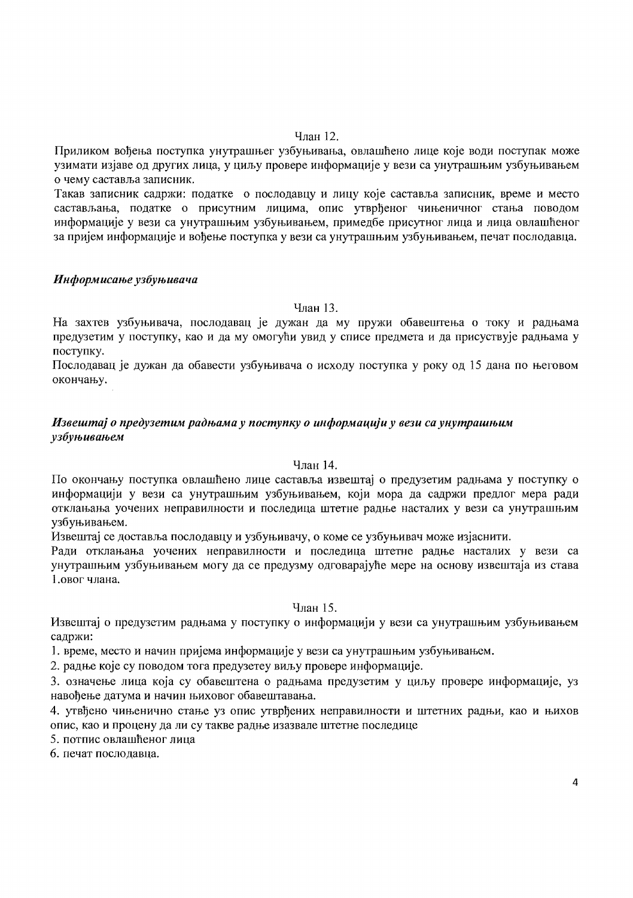#### Члян 12.

Приликом вођења поступка унутрашњег узбуњивања, овлашћено лице које води поступак може узимати изјаве од других лица, у циљу провере информације у вези са унутрашњим узбуњивањем о чему саставља записник.

Такав записник садржи: податке о послодавцу и лицу које саставља записник, време и место састављања, податке о присутним лицима, опис утврђеног чињеничног стања поводом информације у вези са унутрашњим узбуњивањем, примелбе присутног лица и лица овлашћеног за пријем информације и вођење поступка у вези са унутрашњим узбуњивањем, печат послодавца.

### Информисање узбуњивача

Члан 13.

На захтев узбуњивача, послодавац је дужан да му пружи обавештења о току и радњама предузетим у поступку, као и да му омогући увид у списе предмета и да присуствује радњама у поступку.

Послодавац је дужан да обавести узбуњивача о исходу поступка у року од 15 дана по његовом окончању.

# Извештај о предузетим радњама у поступку о информацији у вези са унутрашњим узбуњивањем

### Члан 14.

По окончању поступка овлашћено лице саставља извештај о предузетим радњама у поступку о информацији у вези са унутрашњим узбуњивањем, који мора да садржи предлог мера ради отклањања уочених неправилности и последица штетне радње насталих у вези са унутрашњим узбуњивањем.

Извештај се доставља послодавцу и узбуњивачу, о коме се узбуњивач може изјаснити.

Ради отклањања уочених неправилности и последица штетне радње насталих у вези са унутрашњим узбуњивањем могу да се предузму одговарајуће мере на основу извештаја из става 1.овог члана.

### Члан 15.

Извештај о предузетим радњама у поступку о информацији у вези са унутрашњим узбуњивањем садржи:

1. време, место и начин пријема информације у вези са унутрашњим узбуњивањем.

2. радње које су поводом тога предузетеу виљу провере информације.

3. означење лица која су обавештена о радњама предузетим у циљу провере информације, уз навођење датума и начин њиховог обавештавања.

4. утвђено чињенично стање уз опис утврђених неправилности и штетних радњи, као и њихов опис, као и процену да ли су такве радње изазвале штетне последице

5. потпис овлашћеног лица

6. печат послодавна.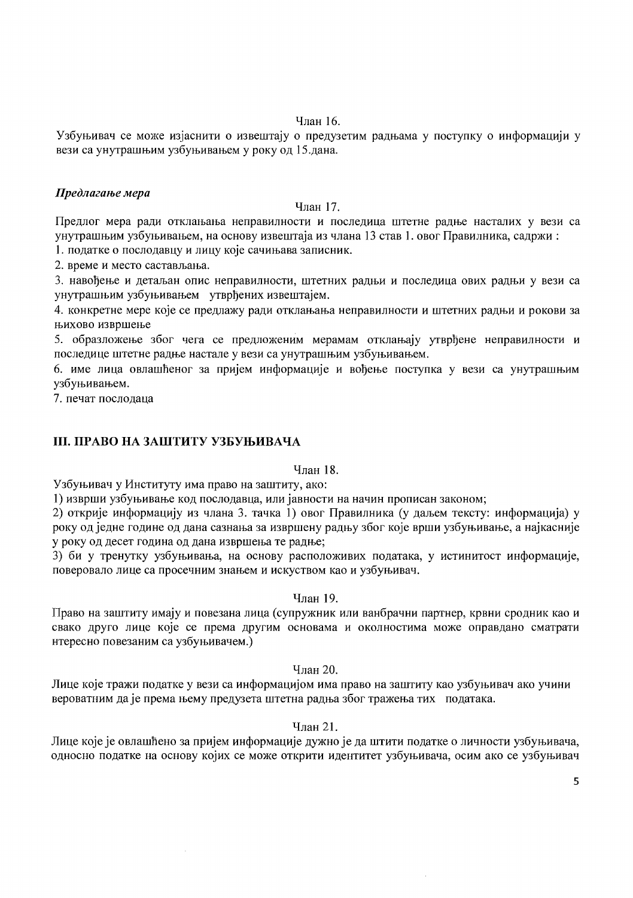### Члан 16.

Узбуњивач се може изјаснити о извештају о предузетим радњама у поступку о информацији у вези са унутрашњим узбуњивањем у року од 15.дана.

### Предлагање мера

#### Члан 17.

Предлог мера ради отклањања неправилности и последица штетне радње насталих у вези са унутрашњим узбуњивањем, на основу извештаја из члана 13 став 1. овог Правилника, садржи:

1. податке о послодавцу и лицу које сачињава записник.

2. време и место састављања.

3. навођење и детаљан опис неправилности, штетних радњи и последица ових радњи у вези са унутрашњим узбуњивањем утврђених извештајем.

4. конкретне мере које се предлажу ради отклањања неправилности и штетних радњи и рокови за њихово извршење

5. образложење због чега се предложеним мерамам отклањају утврђене неправилности и последице штетне радње настале у вези са унутрашњим узбуњивањем.

6. име лица овлашћеног за пријем информације и вођење поступка у вези са унутрашњим үзбүњивањем.

7. печат послодаца

# **III. ПРАВО НА ЗАШТИТУ УЗБУЊИВАЧА**

# Члан 18.

Узбуњивач у Институту има право на заштиту, ако:

1) изврши узбуњивање код послодавца, или јавности на начин прописан законом;

2) открије информацију из члана 3. тачка 1) овог Правилника (у даљем тексту: информација) у року од једне године од дана сазнања за извршену радњу због које врши узбуњивање, а најкасније у року од десет година од дана извршења те радње:

3) би у тренутку узбуњивања, на основу расположивих података, у истинитост информације, поверовало лице са просечним знањем и искуством као и узбуњивач.

### Члан 19.

Право на заштиту имају и повезана лица (супружник или ванбрачни партнер, крвни сродник као и свако друго лице које се према другим основама и околностима може оправдано сматрати нтересно повезаним са узбуњивачем.)

Члан 20.

Лице које тражи податке у вези са информацијом има право на заштиту као узбуњивач ако учини вероватним да је према њему предузета штетна радња због тражења тих података.

# Члан 21.

Лице које је овлашћено за пријем информације дужно је да штити податке о личности узбуњивача, односно податке на основу којих се може открити идентитет узбуњивача, осим ако се узбуњивач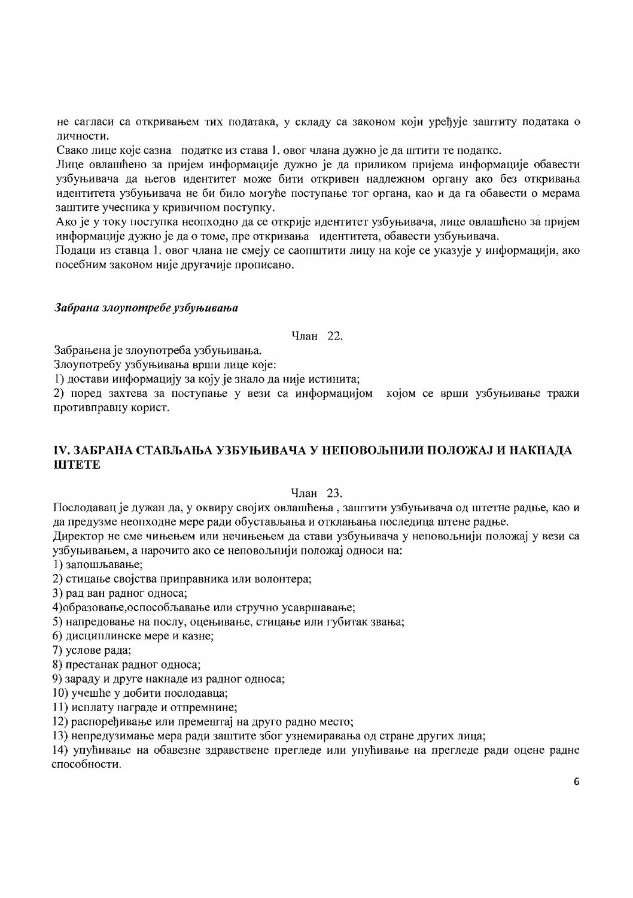не сагласи са откривањем тих података, у складу са законом који уређује заштиту података о личности.

Свако лице које сазна податке из става 1. овог члана дужно је да штити те податке.

Лице овлашћено за пријем информације дужно је да приликом пријема информације обавести узбуњивача да његов идентитет може бити откривен надлежном органу ако без откривања идентитета узбуњивача не би било могуће поступање тог органа, као и да га обавести о мерама заштите учесника у кривичном поступку.

Ако је у току поступка неопходно да се открије идентитет узбуњивача, лице овлашћено за пријем информације дужно је да о томе, пре откривања идентитета, обавести узбуњивача.

Подаци из ставца 1. овог члана не смеју се саопштити лицу на које се указује у информацији, ако посебним законом није другачије прописано.

### Забрана злоупотребе узбуњивања

Члан 22.

Забрањена је злоупотреба узбуњивања.

Злоупотребу узбуњивања врши лице које:

1) достави информацију за коју је знало да није истинита;

2) поред захтева за поступање у вези са информацијом којом се врши узбуњивање тражи противправну корист.

# IV. ЗАБРАНА СТАВЉАЊА УЗБУЊИВАЧА У НЕПОВОЉНИЈИ ПОЛОЖАЈ И НАКНАДА **IIITETE**

Члан 23.

Послодавац је дужан да, у оквиру својих овлашћења, заштити узбуњивача од штетне радње, као и да предузме неопходне мере ради обустављања и отклањања последица штене радње.

Директор не сме чињењем или нечињењем да стави узбуњивача у неповољнији положај у вези са узбуњивањем, а нарочито ако се неповољнији положај односи на:

1) запошљавање;

2) стицање својства приправника или волонтера;

3) рад ван радног односа;

4) образовање, оспособљавање или стручно усавршавање;

5) напредовање на послу, оцењивање, стицање или губитак звања;

6) дисциплинске мере и казне;

7) услове рада;

8) престанак радног односа:

9) зараду и друге накнаде из радног односа;

10) учешће у добити послодавца;

11) исплату награде и отпремнине;

12) распоређивање или премештај на друго радно место;

13) непредузимање мера ради заштите због узнемиравања од стране других лица;

14) упућивање на обавезне здравствене прегледе или упућивање на прегледе ради оцене радне способности.